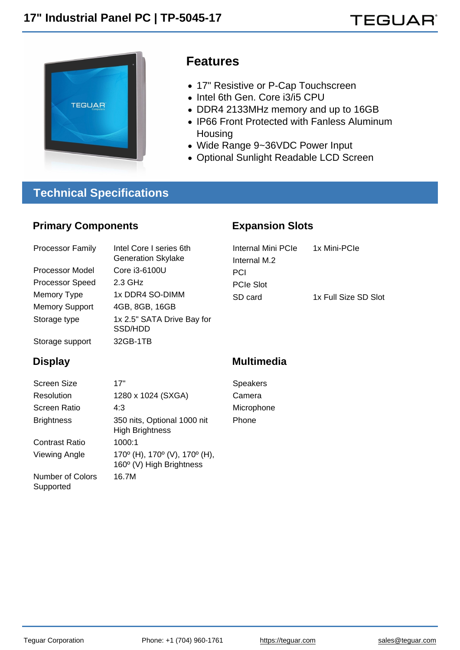## Features

- 17" Resistive or P-Cap Touchscreen
- Intel 6th Gen. Core i3/i5 CPU
- DDR4 2133MHz memory and up to 16GB
- IP66 Front Protected with Fanless Aluminum **Housing**
- Wide Range 9~36VDC Power Input

Expansion Slots

Optional Sunlight Readable LCD Screen

## Technical Specifications

### Primary Components

| <b>Processor Family</b> | Intel Core I series 6th<br><b>Generation Skylake</b> | Internal Mini PCIe | 1x Mini-PCle         |
|-------------------------|------------------------------------------------------|--------------------|----------------------|
|                         |                                                      | Internal M.2       |                      |
| Processor Model         | Core i3-6100U                                        | <b>PCI</b>         |                      |
| <b>Processor Speed</b>  | 2.3 GHz                                              | <b>PCIe Slot</b>   |                      |
| Memory Type             | 1x DDR4 SO-DIMM                                      | SD card            | 1x Full Size SD Slot |
| <b>Memory Support</b>   | 4GB, 8GB, 16GB                                       |                    |                      |
| Storage type            | 1x 2.5" SATA Drive Bay for<br>SSD/HDD                |                    |                      |
| Storage support         | 32GB-1TB                                             |                    |                      |
|                         |                                                      |                    |                      |

### **Display**

Supported

| Screen Size             | 17"                                                                                     |
|-------------------------|-----------------------------------------------------------------------------------------|
| Resolution              | 1280 x 1024 (SXGA)                                                                      |
| Screen Ratio            | 4:3                                                                                     |
| <b>Brightness</b>       | 350 nits, Optional 1000 nit<br><b>High Brightness</b>                                   |
| Contrast Ratio          | 1000:1                                                                                  |
| Viewing Angle           | 170 $^{\circ}$ (H), 170 $^{\circ}$ (V), 170 $^{\circ}$ (H),<br>160° (V) High Brightness |
| <b>Number of Colors</b> | 16.7M                                                                                   |

#### Multimedia

Speakers Camera Microphone Phone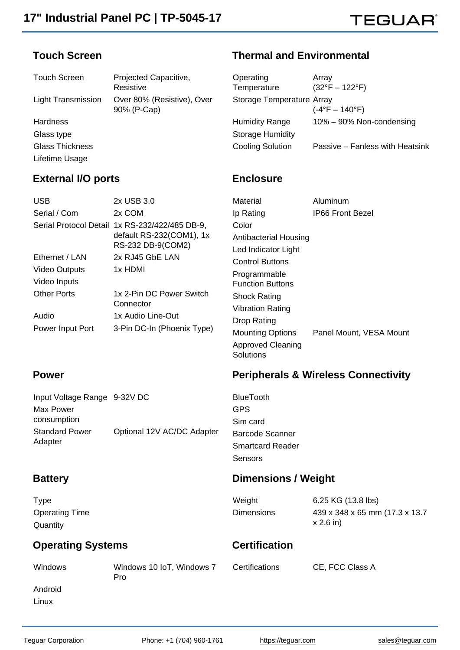# **TEGUAR®**

#### Touch Screen

#### Thermal and Environmental

| <b>Touch Screen</b>       | Projected Capacitive,      | Operating                 | Arrav                           |
|---------------------------|----------------------------|---------------------------|---------------------------------|
|                           | Resistive                  | Temperature               | $(32^{\circ}F - 122^{\circ}F)$  |
| <b>Light Transmission</b> | Over 80% (Resistive), Over | Storage Temperature Array |                                 |
|                           | 90% (P-Cap)                |                           | $(-4^{\circ}F - 140^{\circ}F)$  |
| <b>Hardness</b>           |                            | <b>Humidity Range</b>     | 10% - 90% Non-condensing        |
| Glass type                |                            | <b>Storage Humidity</b>   |                                 |
| <b>Glass Thickness</b>    |                            | <b>Cooling Solution</b>   | Passive – Fanless with Heatsink |
| Lifetime Usage            |                            |                           |                                 |

**Enclosure** 

Drop Rating

**Solutions** 

Sensors

Approved Cleaning

#### External I/O ports

#### USB 2x USB 3.0 Serial / Com 2x COM Serial Protocol Detail 1x RS-232/422/485 DB-9, default RS-232(COM1), 1x RS-232 DB-9(COM2) Ethernet / LAN 2x RJ45 GbE LAN Video Outputs 1x HDMI Video Inputs Other Ports 1x 2-Pin DC Power Switch **Connector** Material Aluminum Ip Rating **IP66 Front Bezel** Color Antibacterial Housing Led Indicator Light Control Buttons Programmable Function Buttons Shock Rating Vibration Rating

Audio 1x Audio Line-Out Power Input Port 3-Pin DC-In (Phoenix Type)

## Peripherals & Wireless Connectivity

Mounting Options Panel Mount, VESA Mount

| Input Voltage Range 9-32V DC |                            | <b>BlueTooth</b>        |
|------------------------------|----------------------------|-------------------------|
| Max Power                    |                            | <b>GPS</b>              |
| consumption                  |                            | Sim card                |
| <b>Standard Power</b>        | Optional 12V AC/DC Adapter | <b>Barcode Scanner</b>  |
| Adapter                      |                            | <b>Smartcard Reader</b> |

#### **Battery**

Power

# Dimensions / Weight

| <b>Type</b>                       |                                  | Weight            | 6.25 KG (13.8 lbs)                            |
|-----------------------------------|----------------------------------|-------------------|-----------------------------------------------|
| <b>Operating Time</b><br>Quantity |                                  | <b>Dimensions</b> | 439 x 348 x 65 mm (17.3 x 13.7<br>$x 2.6$ in) |
| <b>Operating Systems</b>          |                                  | Certification     |                                               |
| Windows                           | Windows 10 IoT, Windows 7<br>Pro | Certifications    | CE, FCC Class A                               |
| Android                           |                                  |                   |                                               |
| Linux                             |                                  |                   |                                               |